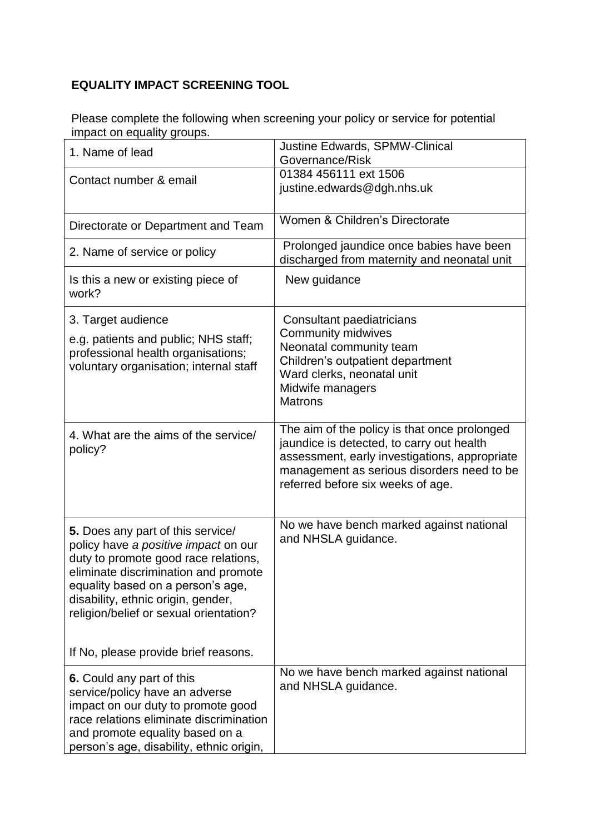## **EQUALITY IMPACT SCREENING TOOL**

Please complete the following when screening your policy or service for potential impact on equality groups.

| 1. Name of lead                                                                                                                                                                                                                                                                | <b>Justine Edwards, SPMW-Clinical</b><br>Governance/Risk                                                                                                                                                                      |
|--------------------------------------------------------------------------------------------------------------------------------------------------------------------------------------------------------------------------------------------------------------------------------|-------------------------------------------------------------------------------------------------------------------------------------------------------------------------------------------------------------------------------|
| Contact number & email                                                                                                                                                                                                                                                         | 01384 456111 ext 1506<br>justine.edwards@dgh.nhs.uk                                                                                                                                                                           |
| Directorate or Department and Team                                                                                                                                                                                                                                             | Women & Children's Directorate                                                                                                                                                                                                |
| 2. Name of service or policy                                                                                                                                                                                                                                                   | Prolonged jaundice once babies have been<br>discharged from maternity and neonatal unit                                                                                                                                       |
| Is this a new or existing piece of<br>work?                                                                                                                                                                                                                                    | New guidance                                                                                                                                                                                                                  |
| 3. Target audience<br>e.g. patients and public; NHS staff;<br>professional health organisations;<br>voluntary organisation; internal staff                                                                                                                                     | Consultant paediatricians<br><b>Community midwives</b><br>Neonatal community team<br>Children's outpatient department<br>Ward clerks, neonatal unit<br>Midwife managers<br><b>Matrons</b>                                     |
| 4. What are the aims of the service/<br>policy?                                                                                                                                                                                                                                | The aim of the policy is that once prolonged<br>jaundice is detected, to carry out health<br>assessment, early investigations, appropriate<br>management as serious disorders need to be<br>referred before six weeks of age. |
| 5. Does any part of this service/<br>policy have a positive impact on our<br>duty to promote good race relations,<br>eliminate discrimination and promote<br>equality based on a person's age,<br>disability, ethnic origin, gender,<br>religion/belief or sexual orientation? | No we have bench marked against national<br>and NHSLA guidance.                                                                                                                                                               |
| If No, please provide brief reasons.                                                                                                                                                                                                                                           |                                                                                                                                                                                                                               |
| 6. Could any part of this<br>service/policy have an adverse<br>impact on our duty to promote good<br>race relations eliminate discrimination<br>and promote equality based on a<br>person's age, disability, ethnic origin,                                                    | No we have bench marked against national<br>and NHSLA guidance.                                                                                                                                                               |